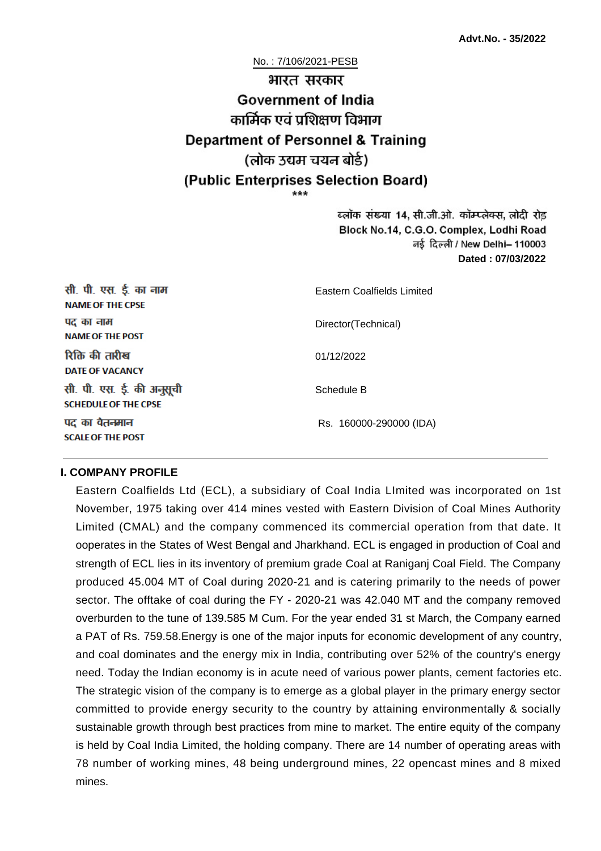No. : 7/106/2021-PESB

# भारत सरकार **Government of India** कार्मिक एवं प्रशिक्षण विभाग **Department of Personnel & Training** (लोक उद्यम चयन बोर्ड) (Public Enterprises Selection Board) \*\*\*

ब्लॉक संख्या 14, सी.जी.ओ. कॉम्प्लेक्स, लोदी रोड Block No.14, C.G.O. Complex, Lodhi Road नई दिल्ली / New Delhi- 110003 **Dated : 07/03/2022**

| सी. पी. एस. ई. का नाम<br><b>NAME OF THE CPSE</b>         | Eastern Coalfields Limited |
|----------------------------------------------------------|----------------------------|
| पद का नाम<br><b>NAME OF THE POST</b>                     | Director(Technical)        |
| रिक्ति की तारीख<br><b>DATE OF VACANCY</b>                | 01/12/2022                 |
| सी. पी. एस. ई. की अनुसूची<br><b>SCHEDULE OF THE CPSE</b> | Schedule B                 |
| पद का वेतनमान<br><b>SCALE OF THE POST</b>                | Rs. 160000-290000 (IDA)    |

#### **I. COMPANY PROFILE**

Eastern Coalfields Ltd (ECL), a subsidiary of Coal India LImited was incorporated on 1st November, 1975 taking over 414 mines vested with Eastern Division of Coal Mines Authority Limited (CMAL) and the company commenced its commercial operation from that date. It ooperates in the States of West Bengal and Jharkhand. ECL is engaged in production of Coal and strength of ECL lies in its inventory of premium grade Coal at Raniganj Coal Field. The Company produced 45.004 MT of Coal during 2020-21 and is catering primarily to the needs of power sector. The offtake of coal during the FY - 2020-21 was 42.040 MT and the company removed overburden to the tune of 139.585 M Cum. For the year ended 31 st March, the Company earned a PAT of Rs. 759.58.Energy is one of the major inputs for economic development of any country, and coal dominates and the energy mix in India, contributing over 52% of the country's energy need. Today the Indian economy is in acute need of various power plants, cement factories etc. The strategic vision of the company is to emerge as a global player in the primary energy sector committed to provide energy security to the country by attaining environmentally & socially sustainable growth through best practices from mine to market. The entire equity of the company is held by Coal India Limited, the holding company. There are 14 number of operating areas with 78 number of working mines, 48 being underground mines, 22 opencast mines and 8 mixed mines.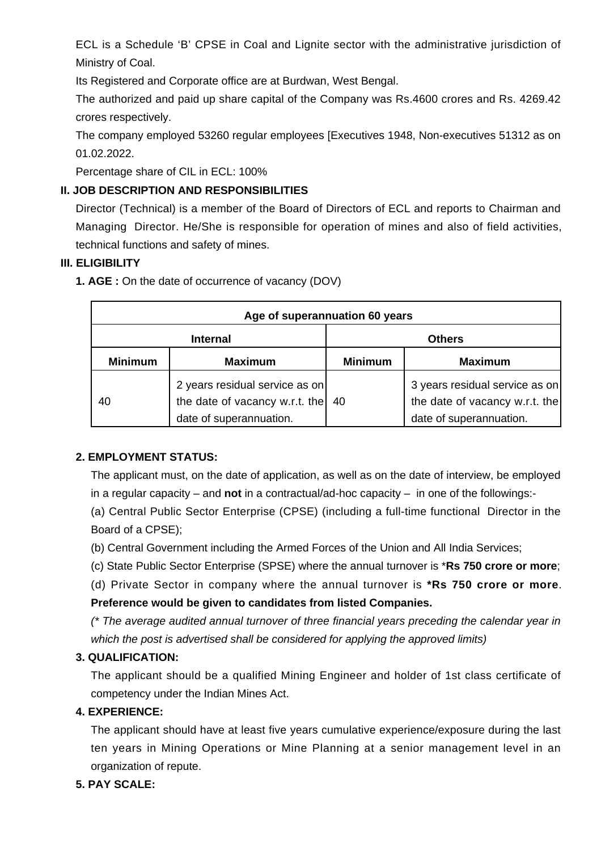ECL is a Schedule 'B' CPSE in Coal and Lignite sector with the administrative jurisdiction of Ministry of Coal.

Its Registered and Corporate office are at Burdwan, West Bengal.

The authorized and paid up share capital of the Company was Rs.4600 crores and Rs. 4269.42 crores respectively.

The company employed 53260 regular employees [Executives 1948, Non-executives 51312 as on 01.02.2022.

Percentage share of CIL in ECL: 100%

## **II. JOB DESCRIPTION AND RESPONSIBILITIES**

Director (Technical) is a member of the Board of Directors of ECL and reports to Chairman and Managing Director. He/She is responsible for operation of mines and also of field activities, technical functions and safety of mines.

### **III. ELIGIBILITY**

**1. AGE :** On the date of occurrence of vacancy (DOV)

| Age of superannuation 60 years |                                                                                                        |                |                                                                                             |
|--------------------------------|--------------------------------------------------------------------------------------------------------|----------------|---------------------------------------------------------------------------------------------|
| <b>Internal</b>                |                                                                                                        | <b>Others</b>  |                                                                                             |
| <b>Minimum</b>                 | <b>Maximum</b>                                                                                         | <b>Minimum</b> | <b>Maximum</b>                                                                              |
| 40                             | 2 years residual service as on<br>the date of vacancy w.r.t. the $\vert$ 40<br>date of superannuation. |                | 3 years residual service as on<br>the date of vacancy w.r.t. the<br>date of superannuation. |

## **2. EMPLOYMENT STATUS:**

The applicant must, on the date of application, as well as on the date of interview, be employed in a regular capacity – and **not** in a contractual/ad-hoc capacity – in one of the followings:-

(a) Central Public Sector Enterprise (CPSE) (including a full-time functional Director in the Board of a CPSE);

- (b) Central Government including the Armed Forces of the Union and All India Services;
- (c) State Public Sector Enterprise (SPSE) where the annual turnover is \***Rs 750 crore or more**;

(d) Private Sector in company where the annual turnover is **\*Rs 750 crore or more**. **Preference would be given to candidates from listed Companies.** 

(\* The average audited annual turnover of three financial years preceding the calendar year in which the post is advertised shall be considered for applying the approved limits)

## **3. QUALIFICATION:**

The applicant should be a qualified Mining Engineer and holder of 1st class certificate of competency under the Indian Mines Act.

## **4. EXPERIENCE:**

The applicant should have at least five years cumulative experience/exposure during the last ten years in Mining Operations or Mine Planning at a senior management level in an organization of repute.

## **5. PAY SCALE:**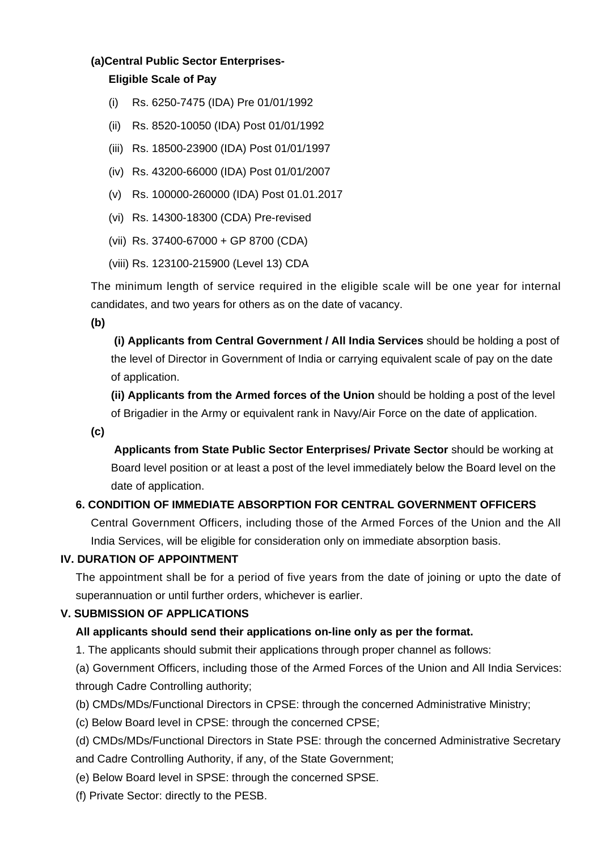#### **(a)Central Public Sector Enterprises-**

#### **Eligible Scale of Pay**

- (i) Rs. 6250-7475 (IDA) Pre 01/01/1992
- (ii) Rs. 8520-10050 (IDA) Post 01/01/1992
- (iii) Rs. 18500-23900 (IDA) Post 01/01/1997
- (iv) Rs. 43200-66000 (IDA) Post 01/01/2007
- (v) Rs. 100000-260000 (IDA) Post 01.01.2017
- (vi) Rs. 14300-18300 (CDA) Pre-revised
- (vii) Rs. 37400-67000 + GP 8700 (CDA)
- (viii) Rs. 123100-215900 (Level 13) CDA

The minimum length of service required in the eligible scale will be one year for internal candidates, and two years for others as on the date of vacancy.

**(b)**

**(i) Applicants from Central Government / All India Services** should be holding a post of the level of Director in Government of India or carrying equivalent scale of pay on the date of application.

**(ii) Applicants from the Armed forces of the Union** should be holding a post of the level of Brigadier in the Army or equivalent rank in Navy/Air Force on the date of application.

**(c)**

 **Applicants from State Public Sector Enterprises/ Private Sector** should be working at Board level position or at least a post of the level immediately below the Board level on the date of application.

### **6. CONDITION OF IMMEDIATE ABSORPTION FOR CENTRAL GOVERNMENT OFFICERS**

Central Government Officers, including those of the Armed Forces of the Union and the All India Services, will be eligible for consideration only on immediate absorption basis.

#### **IV. DURATION OF APPOINTMENT**

The appointment shall be for a period of five years from the date of joining or upto the date of superannuation or until further orders, whichever is earlier.

### **V. SUBMISSION OF APPLICATIONS**

### **All applicants should send their applications on-line only as per the format.**

1. The applicants should submit their applications through proper channel as follows:

(a) Government Officers, including those of the Armed Forces of the Union and All India Services: through Cadre Controlling authority;

- (b) CMDs/MDs/Functional Directors in CPSE: through the concerned Administrative Ministry;
- (c) Below Board level in CPSE: through the concerned CPSE;

(d) CMDs/MDs/Functional Directors in State PSE: through the concerned Administrative Secretary

and Cadre Controlling Authority, if any, of the State Government;

(e) Below Board level in SPSE: through the concerned SPSE.

(f) Private Sector: directly to the PESB.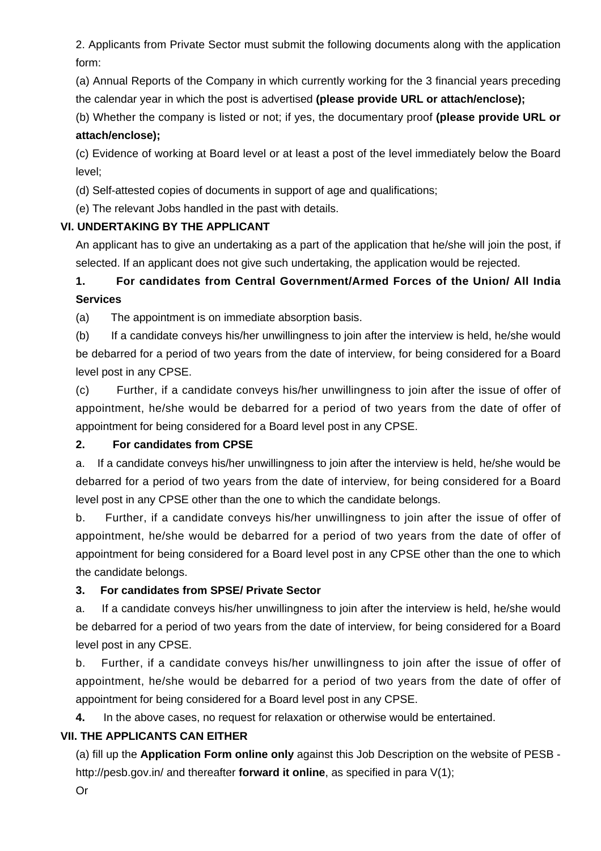2. Applicants from Private Sector must submit the following documents along with the application form:

(a) Annual Reports of the Company in which currently working for the 3 financial years preceding the calendar year in which the post is advertised **(please provide URL or attach/enclose);**

(b) Whether the company is listed or not; if yes, the documentary proof **(please provide URL or attach/enclose);**

(c) Evidence of working at Board level or at least a post of the level immediately below the Board level;

(d) Self-attested copies of documents in support of age and qualifications;

(e) The relevant Jobs handled in the past with details.

### **VI. UNDERTAKING BY THE APPLICANT**

An applicant has to give an undertaking as a part of the application that he/she will join the post, if selected. If an applicant does not give such undertaking, the application would be rejected.

# **1. For candidates from Central Government/Armed Forces of the Union/ All India Services**

(a) The appointment is on immediate absorption basis.

(b) If a candidate conveys his/her unwillingness to join after the interview is held, he/she would be debarred for a period of two years from the date of interview, for being considered for a Board level post in any CPSE.

(c) Further, if a candidate conveys his/her unwillingness to join after the issue of offer of appointment, he/she would be debarred for a period of two years from the date of offer of appointment for being considered for a Board level post in any CPSE.

### **2. For candidates from CPSE**

a. If a candidate conveys his/her unwillingness to join after the interview is held, he/she would be debarred for a period of two years from the date of interview, for being considered for a Board level post in any CPSE other than the one to which the candidate belongs.

b. Further, if a candidate conveys his/her unwillingness to join after the issue of offer of appointment, he/she would be debarred for a period of two years from the date of offer of appointment for being considered for a Board level post in any CPSE other than the one to which the candidate belongs.

### **3. For candidates from SPSE/ Private Sector**

a. If a candidate conveys his/her unwillingness to join after the interview is held, he/she would be debarred for a period of two years from the date of interview, for being considered for a Board level post in any CPSE.

b. Further, if a candidate conveys his/her unwillingness to join after the issue of offer of appointment, he/she would be debarred for a period of two years from the date of offer of appointment for being considered for a Board level post in any CPSE.

**4.** In the above cases, no request for relaxation or otherwise would be entertained.

### **VII. THE APPLICANTS CAN EITHER**

(a) fill up the **Application Form online only** against this Job Description on the website of PESB http://pesb.gov.in/ and thereafter **forward it online**, as specified in para V(1);

Or